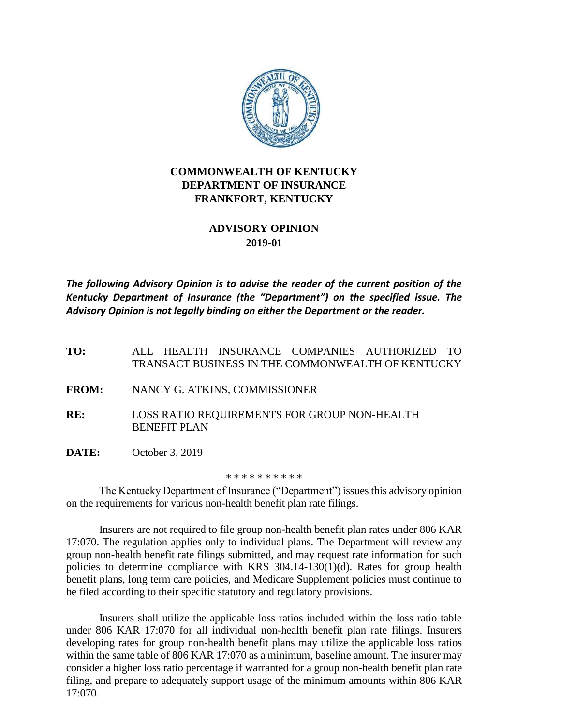

## **COMMONWEALTH OF KENTUCKY DEPARTMENT OF INSURANCE FRANKFORT, KENTUCKY**

## **ADVISORY OPINION 2019-01**

*The following Advisory Opinion is to advise the reader of the current position of the Kentucky Department of Insurance (the "Department") on the specified issue. The Advisory Opinion is not legally binding on either the Department or the reader.*

**TO:** ALL HEALTH INSURANCE COMPANIES AUTHORIZED TO TRANSACT BUSINESS IN THE COMMONWEALTH OF KENTUCKY

- **FROM:** NANCY G. ATKINS, COMMISSIONER
- **RE:** LOSS RATIO REQUIREMENTS FOR GROUP NON-HEALTH BENEFIT PLAN
- **DATE:** October 3, 2019

\* \* \* \* \* \* \* \* \* \*

The Kentucky Department of Insurance ("Department") issues this advisory opinion on the requirements for various non-health benefit plan rate filings.

Insurers are not required to file group non-health benefit plan rates under 806 KAR 17:070. The regulation applies only to individual plans. The Department will review any group non-health benefit rate filings submitted, and may request rate information for such policies to determine compliance with KRS 304.14-130(1)(d). Rates for group health benefit plans, long term care policies, and Medicare Supplement policies must continue to be filed according to their specific statutory and regulatory provisions.

Insurers shall utilize the applicable loss ratios included within the loss ratio table under 806 KAR 17:070 for all individual non-health benefit plan rate filings. Insurers developing rates for group non-health benefit plans may utilize the applicable loss ratios within the same table of 806 KAR 17:070 as a minimum, baseline amount. The insurer may consider a higher loss ratio percentage if warranted for a group non-health benefit plan rate filing, and prepare to adequately support usage of the minimum amounts within 806 KAR 17:070.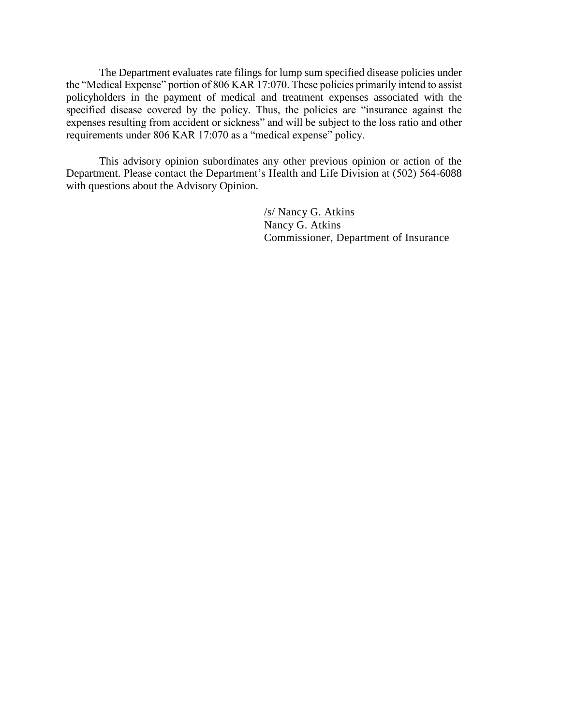The Department evaluates rate filings for lump sum specified disease policies under the "Medical Expense" portion of 806 KAR 17:070. These policies primarily intend to assist policyholders in the payment of medical and treatment expenses associated with the specified disease covered by the policy. Thus, the policies are "insurance against the expenses resulting from accident or sickness" and will be subject to the loss ratio and other requirements under 806 KAR 17:070 as a "medical expense" policy.

This advisory opinion subordinates any other previous opinion or action of the Department. Please contact the Department's Health and Life Division at (502) 564-6088 with questions about the Advisory Opinion.

> /s/ Nancy G. Atkins Nancy G. Atkins Commissioner, Department of Insurance